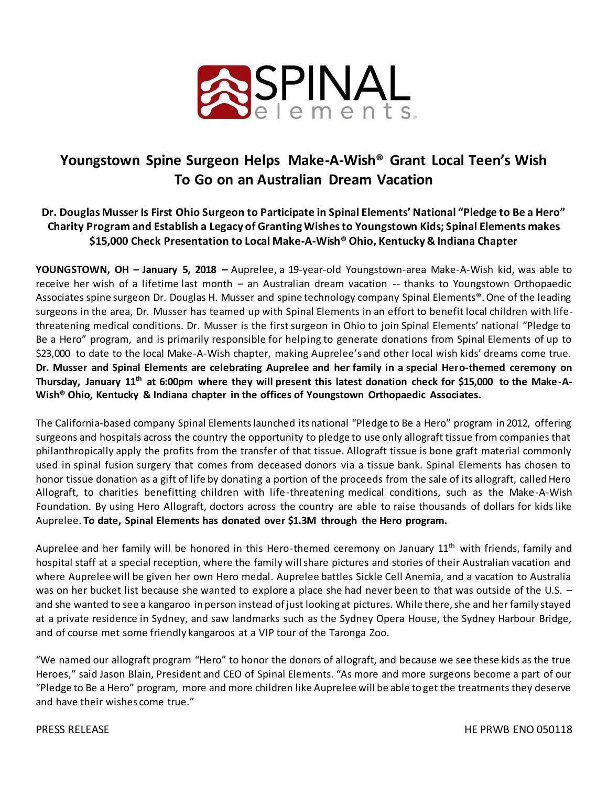

# **Youngstown Spine Surgeon Helps Make-A-Wish® Grant Local Teen's Wish To Go on an Australian Dream Vacation**

### **Dr. Douglas Musser Is First Ohio Surgeon to Participate in Spinal Elements' National "Pledge to Be a Hero" Charity Program and Establish a Legacy of Granting Wishes to Youngstown Kids; Spinal Elements makes \$15,000 Check Presentation to Local Make-A-Wish® Ohio, Kentucky & Indiana Chapter**

**YOUNGSTOWN, OH – January 5, 2018 –** Auprelee, a 19-year-old Youngstown-area Make-A-Wish kid, was able to receive her wish of a lifetime last month – an Australian dream vacation -- thanks to Youngstown Orthopaedic Associates spine surgeon Dr. Douglas H. Musser and spine technology company Spinal Elements®. One of the leading surgeons in the area, Dr. Musser has teamed up with Spinal Elements in an effort to benefit local children with lifethreatening medical conditions. Dr. Musser is the first surgeon in Ohio to join Spinal Elements' national "Pledge to Be a Hero" program, and is primarily responsible for helping to generate donations from Spinal Elements of up to \$23,000 to date to the local Make-A-Wish chapter, making Auprelee's and other local wish kids' dreams come true. **Dr. Musser and Spinal Elements are celebrating Auprelee and her family in a special Hero-themed ceremony on Thursday, January 11th at 6:00pm where they will present this latest donation check for \$15,000 to the Make-A-Wish® Ohio, Kentucky & Indiana chapter in the offices of Youngstown Orthopaedic Associates.** 

The California-based company Spinal Elements launched its national "Pledge to Be a Hero" program in 2012, offering surgeons and hospitals across the country the opportunity to pledge to use only allograft tissue from companies that philanthropically apply the profits from the transfer of that tissue. Allograft tissue is bone graft material commonly used in spinal fusion surgery that comes from deceased donors via a tissue bank. Spinal Elements has chosen to honor tissue donation as a gift of life by donating a portion of the proceeds from the sale of its allograft, called Hero Allograft, to charities benefitting children with life-threatening medical conditions, such as the Make-A-Wish Foundation. By using Hero Allograft, doctors across the country are able to raise thousands of dollars for kids like Auprelee. **To date, Spinal Elements has donated over \$1.3M through the Hero program.**

Auprelee and her family will be honored in this Hero-themed ceremony on January 11<sup>th</sup> with friends, family and hospital staff at a special reception, where the family will share pictures and stories of their Australian vacation and where Auprelee will be given her own Hero medal. Auprelee battles Sickle Cell Anemia, and a vacation to Australia was on her bucket list because she wanted to explore a place she had never been to that was outside of the U.S. and she wanted to see a kangaroo in person instead of just looking at pictures. While there, she and her family stayed at a private residence in Sydney, and saw landmarks such as the Sydney Opera House, the Sydney Harbour Bridge, and of course met some friendly kangaroos at a VIP tour of the Taronga Zoo.

"We named our allograft program "Hero" to honor the donors of allograft, and because we see these kids as the true Heroes," said Jason Blain, President and CEO of Spinal Elements. "As more and more surgeons become a part of our "Pledge to Be a Hero" program, more and more children like Auprelee will be able to get the treatments they deserve and have their wishes come true."